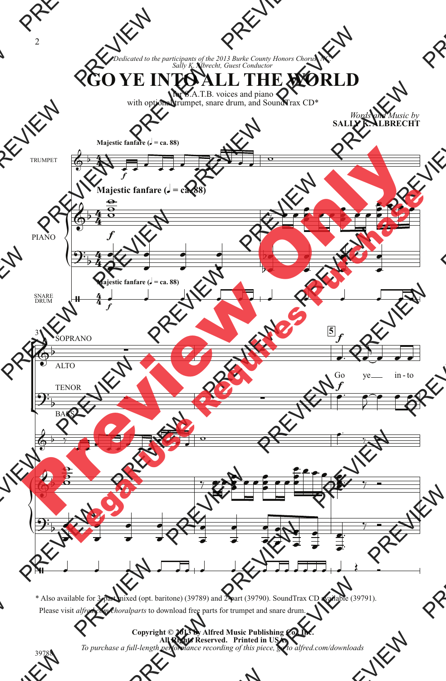*Dedicated to the participants of the 2013 Burke County Honors Chorus, NC. Sally K. Albrecht, Guest Conductor*

**GO YE INTO ALL THE WORLD**

for S.A.T.B. voices and piano with optional trumpet, snare drum, and SoundTrax CD\*

> *Words and Music by* **SALLY K. ALBRECHT**



\* Also available for 3-part mixed (opt. baritone) (39789) and 2-part (39790). SoundTrax CD available (39791). Please visit *alfred.com/choralparts* to download free parts for trumpet and snare drum.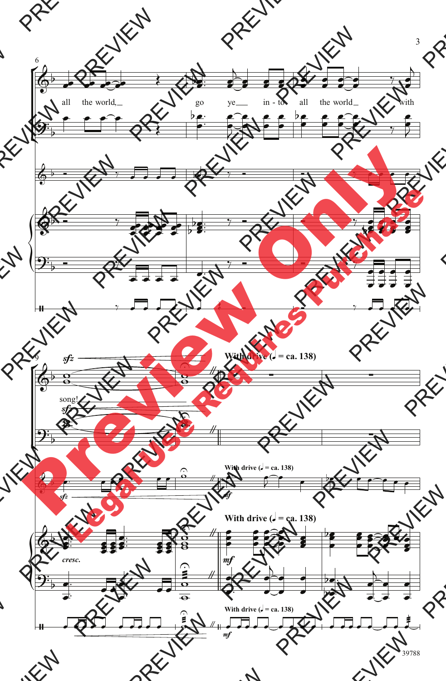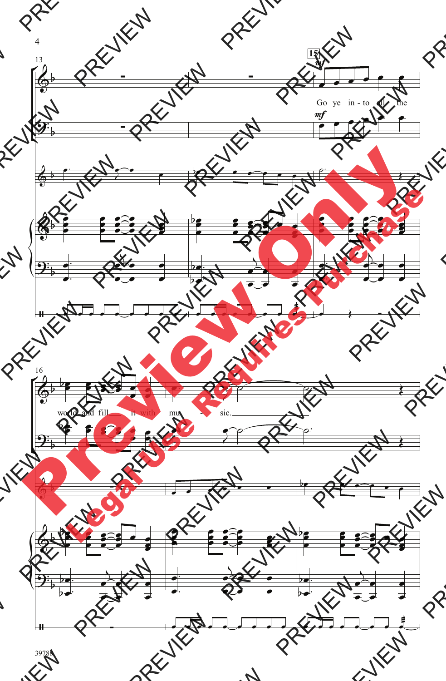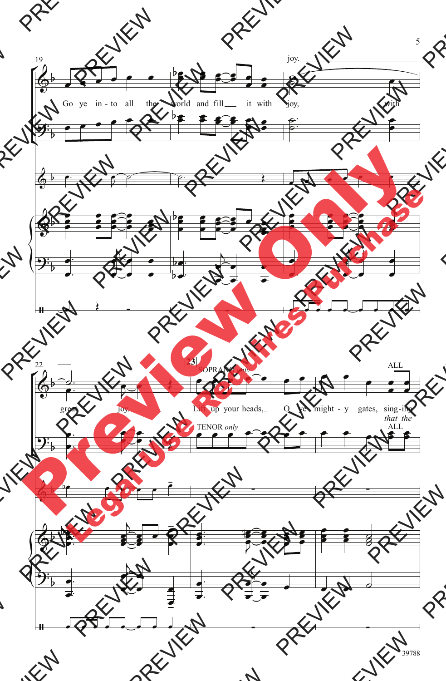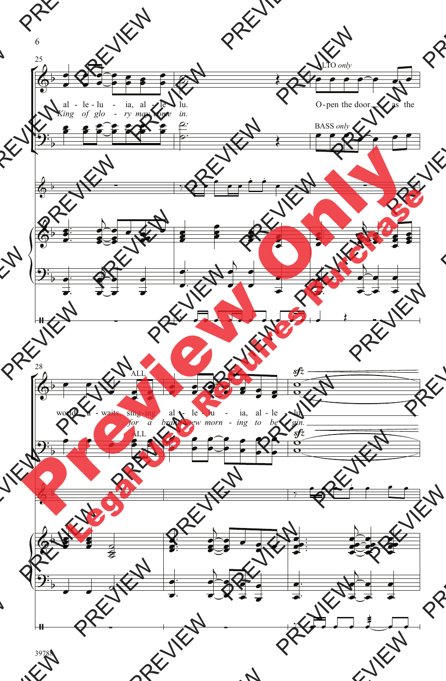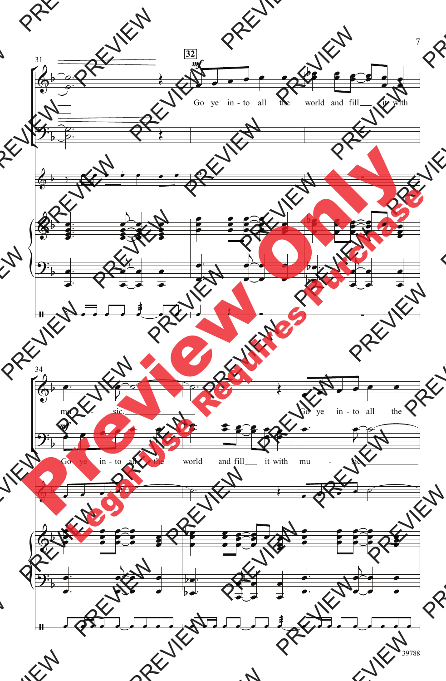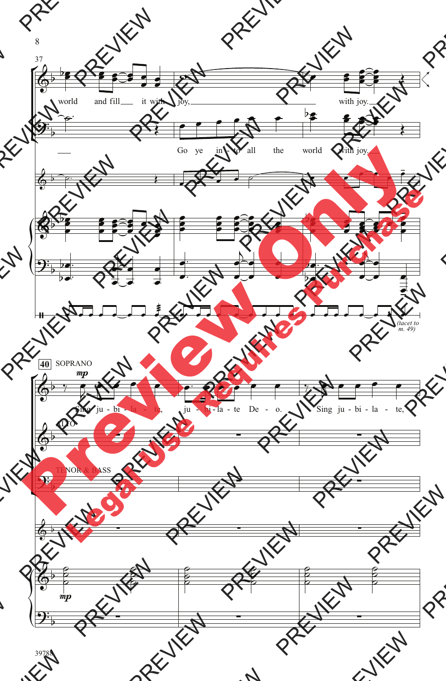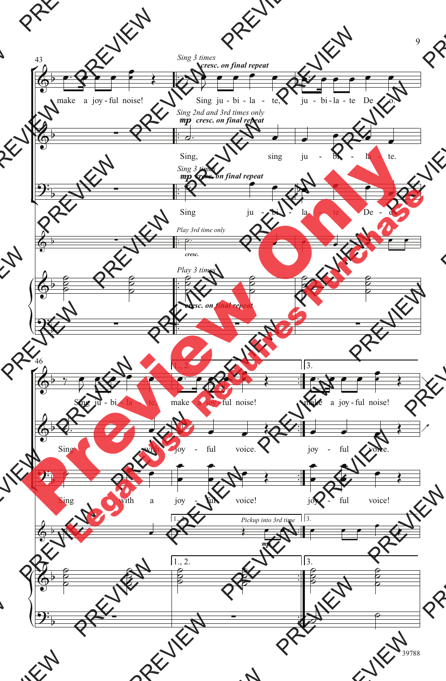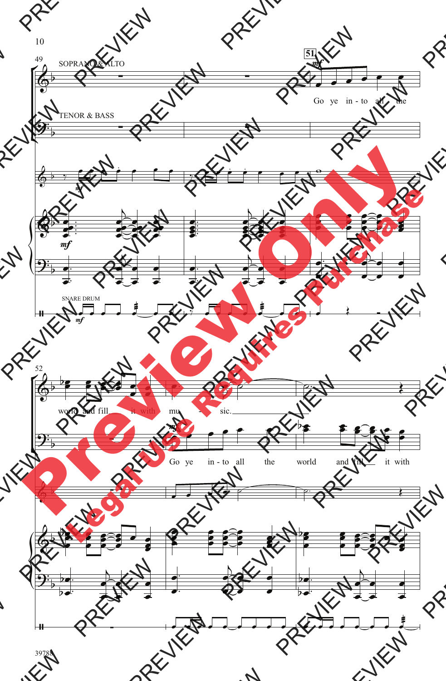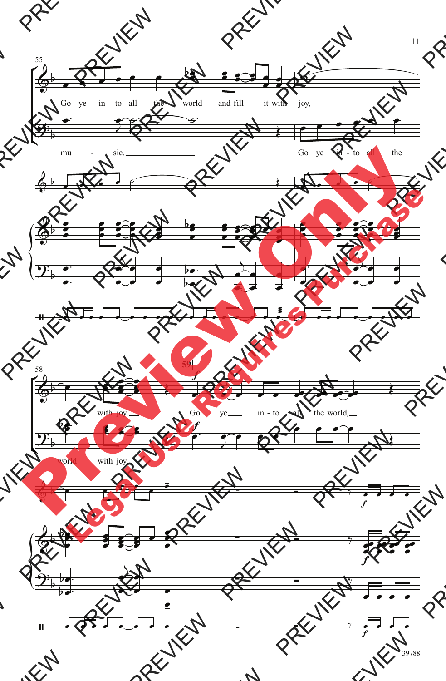